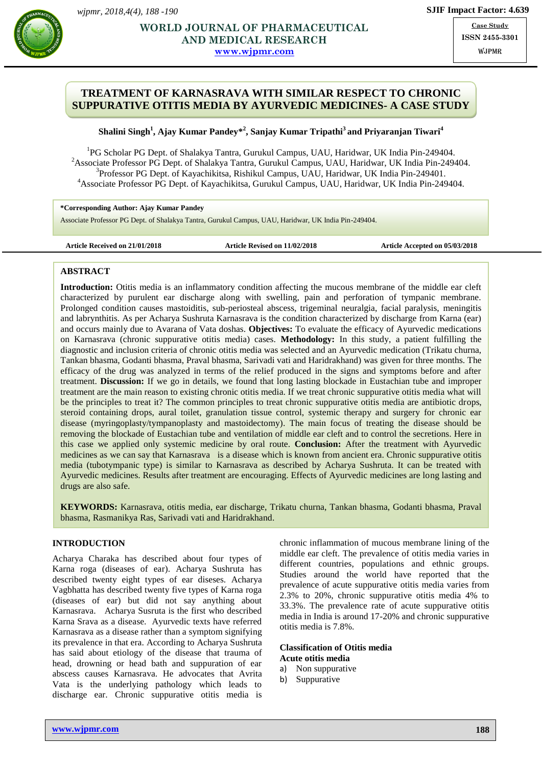

# **Pandem AND MEDICAL RESEARCH** ISSN 2 **WORLD JOURNAL OF PHARMACEUTICAL [www.wjpmr.com](http://www.wjpmr.com/)**

**Case Study ISSN 2455-3301** WJPMR

# **TREATMENT OF KARNASRAVA WITH SIMILAR RESPECT TO CHRONIC SUPPURATIVE OTITIS MEDIA BY AYURVEDIC MEDICINES- A CASE STUDY**

**Shalini Singh<sup>1</sup> , Ajay Kumar Pandey\* 2 , Sanjay Kumar Tripathi<sup>3</sup> and Priyaranjan Tiwari<sup>4</sup>**

<sup>1</sup>PG Scholar PG Dept. of Shalakya Tantra, Gurukul Campus, UAU, Haridwar, UK India Pin-249404. <sup>2</sup> Associate Professor PG Dept. of Shalakya Tantra, Gurukul Campus, UAU, Haridwar, UK India Pin-249404. 3 Professor PG Dept. of Kayachikitsa, Rishikul Campus, UAU, Haridwar, UK India Pin-249401. <sup>4</sup>Associate Professor PG Dept. of Kayachikitsa, Gurukul Campus, UAU, Haridwar, UK India Pin-249404.

**\*Corresponding Author: Ajay Kumar Pandey** Associate Professor PG Dept. of Shalakya Tantra, Gurukul Campus, UAU, Haridwar, UK India Pin-249404.

**Article Received on 21/01/2018 Article Revised on 11/02/2018 Article Accepted on 05/03/2018**

## **ABSTRACT**

**Introduction:** Otitis media is an inflammatory condition affecting the mucous membrane of the middle ear cleft characterized by purulent ear discharge along with swelling, pain and perforation of tympanic membrane. Prolonged condition causes mastoiditis, sub-periosteal abscess, trigeminal neuralgia, facial paralysis, meningitis and labrynthitis. As per Acharya Sushruta Karnasrava is the condition characterized by discharge from Karna (ear) and occurs mainly due to Avarana of Vata doshas. **Objectives:** To evaluate the efficacy of Ayurvedic medications on Karnasrava (chronic suppurative otitis media) cases. **Methodology:** In this study, a patient fulfilling the diagnostic and inclusion criteria of chronic otitis media was selected and an Ayurvedic medication (Trikatu churna, Tankan bhasma, Godanti bhasma, Praval bhasma, Sarivadi vati and Haridrakhand) was given for three months. The efficacy of the drug was analyzed in terms of the relief produced in the signs and symptoms before and after treatment. **Discussion:** If we go in details, we found that long lasting blockade in Eustachian tube and improper treatment are the main reason to existing chronic otitis media. If we treat chronic suppurative otitis media what will be the principles to treat it? The common principles to treat chronic suppurative otitis media are antibiotic drops, steroid containing drops, aural toilet, granulation tissue control, systemic therapy and surgery for chronic ear disease (myringoplasty/tympanoplasty and mastoidectomy). The main focus of treating the disease should be removing the blockade of Eustachian tube and ventilation of middle ear cleft and to control the secretions. Here in this case we applied only systemic medicine by oral route. **Conclusion:** After the treatment with Ayurvedic medicines as we can say that Karnasrava is a disease which is known from ancient era. Chronic suppurative otitis media (tubotympanic type) is similar to Karnasrava as described by Acharya Sushruta. It can be treated with Ayurvedic medicines. Results after treatment are encouraging. Effects of Ayurvedic medicines are long lasting and drugs are also safe.

**KEYWORDS:** Karnasrava, otitis media, ear discharge, Trikatu churna, Tankan bhasma, Godanti bhasma, Praval bhasma, Rasmanikya Ras, Sarivadi vati and Haridrakhand.

# **INTRODUCTION**

Acharya Charaka has described about four types of Karna roga (diseases of ear). Acharya Sushruta has described twenty eight types of ear diseses. Acharya Vagbhatta has described twenty five types of Karna roga (diseases of ear) but did not say anything about Karnasrava. Acharya Susruta is the first who described Karna Srava as a disease. Ayurvedic texts have referred Karnasrava as a disease rather than a symptom signifying its prevalence in that era. According to Acharya Sushruta has said about etiology of the disease that trauma of head, drowning or head bath and suppuration of ear abscess causes Karnasrava. He advocates that Avrita Vata is the underlying pathology which leads to discharge ear. Chronic suppurative otitis media is

chronic inflammation of mucous membrane lining of the middle ear cleft. The prevalence of otitis media varies in different countries, populations and ethnic groups. Studies around the world have reported that the prevalence of acute suppurative otitis media varies from 2.3% to 20%, chronic suppurative otitis media 4% to 33.3%. The prevalence rate of acute suppurative otitis media in India is around 17-20% and chronic suppurative otitis media is 7.8%.

## **Classification of Otitis media Acute otitis media**

- a) Non suppurative
- b) Suppurative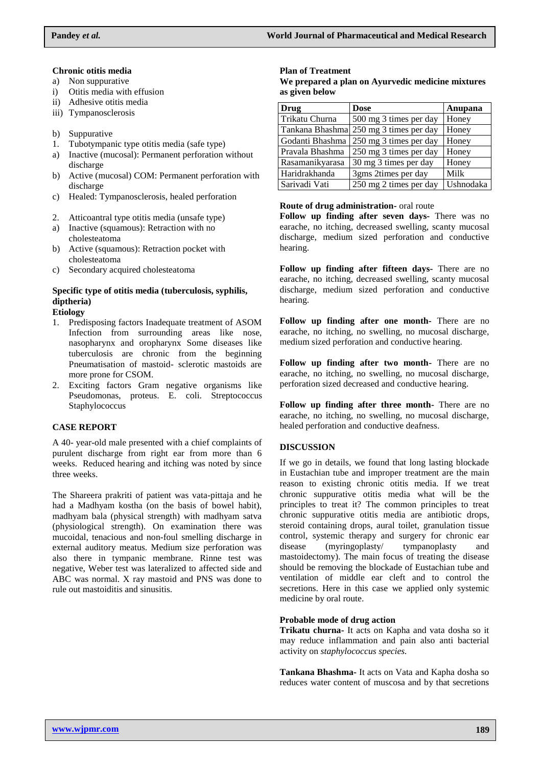#### **Chronic otitis media**

- a) Non suppurative
- i) Otitis media with effusion
- ii) Adhesive otitis media
- iii) Tympanosclerosis
- b) Suppurative
- 1. Tubotympanic type otitis media (safe type)
- a) Inactive (mucosal): Permanent perforation without discharge
- b) Active (mucosal) COM: Permanent perforation with discharge
- c) Healed: Tympanosclerosis, healed perforation
- 2. Atticoantral type otitis media (unsafe type)
- a) Inactive (squamous): Retraction with no cholesteatoma
- b) Active (squamous): Retraction pocket with cholesteatoma
- c) Secondary acquired cholesteatoma

# **Specific type of otitis media (tuberculosis, syphilis, diptheria)**

## **Etiology**

- 1. Predisposing factors Inadequate treatment of ASOM Infection from surrounding areas like nose, nasopharynx and oropharynx Some diseases like tuberculosis are chronic from the beginning Pneumatisation of mastoid- sclerotic mastoids are more prone for CSOM.
- 2. Exciting factors Gram negative organisms like Pseudomonas, proteus. E. coli. Streptococcus Staphylococcus

## **CASE REPORT**

A 40- year-old male presented with a chief complaints of purulent discharge from right ear from more than 6 weeks. Reduced hearing and itching was noted by since three weeks.

The Shareera prakriti of patient was vata-pittaja and he had a Madhyam kostha (on the basis of bowel habit), madhyam bala (physical strength) with madhyam satva (physiological strength). On examination there was mucoidal, tenacious and non-foul smelling discharge in external auditory meatus. Medium size perforation was also there in tympanic membrane. Rinne test was negative, Weber test was lateralized to affected side and ABC was normal. X ray mastoid and PNS was done to rule out mastoiditis and sinusitis.

## **Plan of Treatment**

#### **We prepared a plan on Ayurvedic medicine mixtures as given below**

| Drug            | <b>Dose</b>                            | Anupana   |
|-----------------|----------------------------------------|-----------|
| Trikatu Churna  | 500 mg 3 times per day                 | Honey     |
|                 | Tankana Bhashma 250 mg 3 times per day | Honey     |
| Godanti Bhashma | 250 mg 3 times per day                 | Honey     |
| Pravala Bhashma | 250 mg 3 times per day                 | Honey     |
| Rasamanikyarasa | 30 mg 3 times per day                  | Honey     |
| Haridrakhanda   | 3gms 2times per day                    | Milk      |
| Sarivadi Vati   | 250 mg 2 times per day                 | Ushnodaka |

#### **Route of drug administration-** oral route

**Follow up finding after seven days-** There was no earache, no itching, decreased swelling, scanty mucosal discharge, medium sized perforation and conductive hearing.

**Follow up finding after fifteen days-** There are no earache, no itching, decreased swelling, scanty mucosal discharge, medium sized perforation and conductive hearing.

**Follow up finding after one month-** There are no earache, no itching, no swelling, no mucosal discharge, medium sized perforation and conductive hearing.

**Follow up finding after two month-** There are no earache, no itching, no swelling, no mucosal discharge, perforation sized decreased and conductive hearing.

**Follow up finding after three month-** There are no earache, no itching, no swelling, no mucosal discharge, healed perforation and conductive deafness.

## **DISCUSSION**

If we go in details, we found that long lasting blockade in Eustachian tube and improper treatment are the main reason to existing chronic otitis media. If we treat chronic suppurative otitis media what will be the principles to treat it? The common principles to treat chronic suppurative otitis media are antibiotic drops, steroid containing drops, aural toilet, granulation tissue control, systemic therapy and surgery for chronic ear disease (myringoplasty/ tympanoplasty and mastoidectomy). The main focus of treating the disease should be removing the blockade of Eustachian tube and ventilation of middle ear cleft and to control the secretions. Here in this case we applied only systemic medicine by oral route.

## **Probable mode of drug action**

**Trikatu churna-** It acts on Kapha and vata dosha so it may reduce inflammation and pain also anti bacterial activity on *staphylococcus species.*

**Tankana Bhashma-** It acts on Vata and Kapha dosha so reduces water content of muscosa and by that secretions